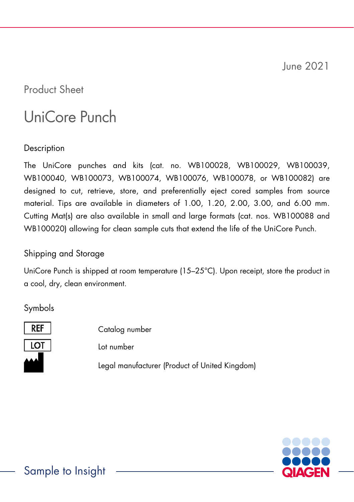June 2021

Product Sheet

# UniCore Punch

**Description** 

The UniCore punches and kits (cat. no. WB100028, WB100029, WB100039, WB100040, WB100073, WB100074, WB100076, WB100078, or WB100082) are designed to cut, retrieve, store, and preferentially eject cored samples from source material. Tips are available in diameters of 1.00, 1.20, 2.00, 3.00, and 6.00 mm. Cutting Mat(s) are also available in small and large formats (cat. nos. WB100088 and WB100020) allowing for clean sample cuts that extend the life of the UniCore Punch.

# Shipping and Storage

UniCore Punch is shipped at room temperature (15–25°C). Upon receipt, store the product in a cool, dry, clean environment.

Symbols



Catalog number Lot number Legal manufacturer (Product of United Kingdom)

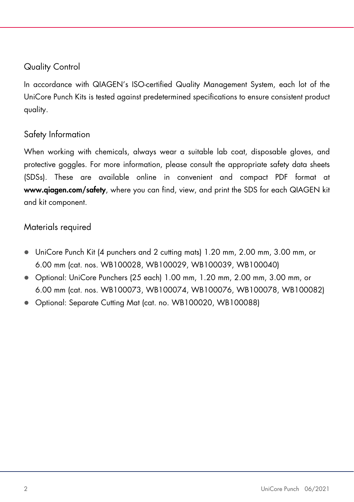#### Quality Control

In accordance with QIAGEN's ISO-certified Quality Management System, each lot of the UniCore Punch Kits is tested against predetermined specifications to ensure consistent product quality.

## Safety Information

When working with chemicals, always wear a suitable lab coat, disposable gloves, and protective goggles. For more information, please consult the appropriate safety data sheets (SDSs). These are available online in convenient and compact PDF format at www.qiagen.com/safety, where you can find, view, and print the SDS for each QIAGEN kit and kit component.

#### Materials required

- UniCore Punch Kit (4 punchers and 2 cutting mats) 1.20 mm, 2.00 mm, 3.00 mm, or 6.00 mm (cat. nos. WB100028, WB100029, WB100039, WB100040)
- Optional: UniCore Punchers (25 each) 1.00 mm, 1.20 mm, 2.00 mm, 3.00 mm, or 6.00 mm (cat. nos. WB100073, WB100074, WB100076, WB100078, WB100082)
- Optional: Separate Cutting Mat (cat. no. WB100020, WB100088)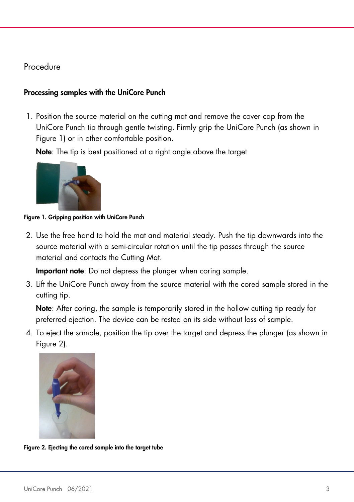### Procedure

#### Processing samples with the UniCore Punch

1. Position the source material on the cutting mat and remove the cover cap from the UniCore Punch tip through gentle twisting. Firmly grip the UniCore Punch (as shown in [Figure 1\)](#page-2-0) or in other comfortable position.

Note: The tip is best positioned at a right angle above the target



Figure 1. Gripping position with UniCore Punch

<span id="page-2-0"></span>2. Use the free hand to hold the mat and material steady. Push the tip downwards into the source material with a semi-circular rotation until the tip passes through the source material and contacts the Cutting Mat.

Important note: Do not depress the plunger when coring sample.

<span id="page-2-2"></span>3. Lift the UniCore Punch away from the source material with the cored sample stored in the cutting tip.

Note: After coring, the sample is temporarily stored in the hollow cutting tip ready for preferred ejection. The device can be rested on its side without loss of sample.

<span id="page-2-3"></span>4. To eject the sample, position the tip over the target and depress the plunger (as shown in [Figure 2\)](#page-2-1).



<span id="page-2-1"></span>Figure 2. Ejecting the cored sample into the target tube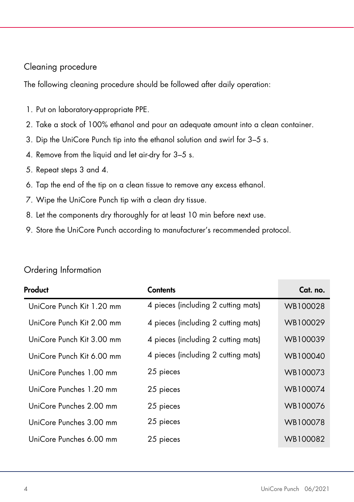#### Cleaning procedure

The following cleaning procedure should be followed after daily operation:

- 1. Put on laboratory-appropriate PPE.
- 2. Take a stock of 100% ethanol and pour an adequate amount into a clean container.
- 3. Dip the UniCore Punch tip into the ethanol solution and swirl for 3–5 s.
- 4. Remove from the liquid and let air-dry for 3–5 s.
- 5. Repeat steps [3](#page-2-2) and [4.](#page-2-3)
- 6. Tap the end of the tip on a clean tissue to remove any excess ethanol.
- 7. Wipe the UniCore Punch tip with a clean dry tissue.
- 8. Let the components dry thoroughly for at least 10 min before next use.
- 9. Store the UniCore Punch according to manufacturer's recommended protocol.

| Product                   | <b>Contents</b>                     | Cat. no. |
|---------------------------|-------------------------------------|----------|
| UniCore Punch Kit 1.20 mm | 4 pieces (including 2 cutting mats) | WB100028 |
| UniCore Punch Kit 2.00 mm | 4 pieces (including 2 cutting mats) | WB100029 |
| UniCore Punch Kit 3.00 mm | 4 pieces (including 2 cutting mats) | WB100039 |
| UniCore Punch Kit 6.00 mm | 4 pieces (including 2 cutting mats) | WB100040 |
| UniCore Punches 1.00 mm   | 25 pieces                           | WB100073 |
| UniCore Punches 1.20 mm   | 25 pieces                           | WB100074 |
| UniCore Punches 2.00 mm   | 25 pieces                           | WB100076 |
| UniCore Punches 3.00 mm   | 25 pieces                           | WB100078 |
| UniCore Punches 6.00 mm   | 25 pieces                           | WB100082 |

#### Ordering Information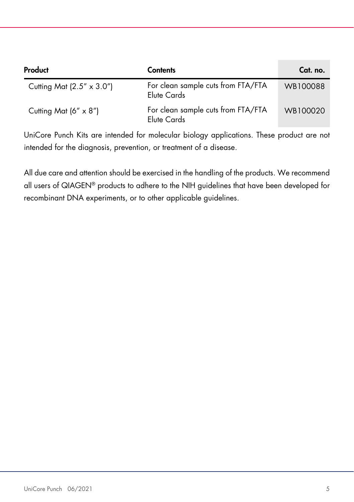| Product                            | <b>Contents</b>                                   | Cat. no. |
|------------------------------------|---------------------------------------------------|----------|
| Cutting Mat $(2.5'' \times 3.0'')$ | For clean sample cuts from FTA/FTA<br>Elute Cards | WB100088 |
| Cutting Mat $(6'' \times 8'')$     | For clean sample cuts from FTA/FTA<br>Elute Cards | WB100020 |

UniCore Punch Kits are intended for molecular biology applications. These product are not intended for the diagnosis, prevention, or treatment of a disease.

All due care and attention should be exercised in the handling of the products. We recommend all users of QIAGEN® products to adhere to the NIH guidelines that have been developed for recombinant DNA experiments, or to other applicable guidelines.